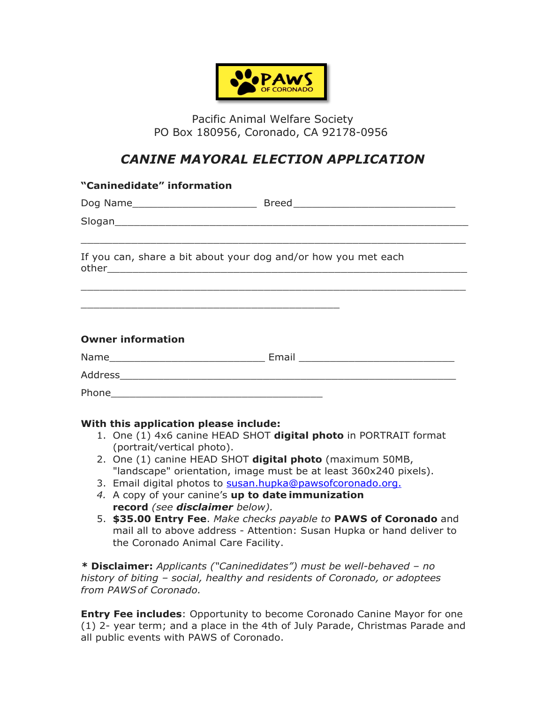

Pacific Animal Welfare Society PO Box 180956, Coronado, CA 92178-0956

## *CANINE MAYORAL ELECTION APPLICATION*

| "Caninedidate" information                                                                                             |  |
|------------------------------------------------------------------------------------------------------------------------|--|
|                                                                                                                        |  |
|                                                                                                                        |  |
| <u>,这就是这个人的人,我们就是这个人的人,我们就是这个人的人,我们就是这个人的人,我们就是</u><br>If you can, share a bit about your dog and/or how you met each  |  |
| <u> 1999 - Johann John Stoff, deutscher Stoffen und der Stoffen und der Stoffen und der Stoffen und der Stoffen un</u> |  |
| <b>Owner information</b>                                                                                               |  |
|                                                                                                                        |  |
|                                                                                                                        |  |
|                                                                                                                        |  |

## **With this application please include:**

- 1. One (1) 4x6 canine HEAD SHOT **digital photo** in PORTRAIT format (portrait/vertical photo).
- 2. One (1) canine HEAD SHOT **digital photo** (maximum 50MB, "landscape" orientation, image must be at least 360x240 pixels).
- 3. Email digital photos to susan.hupka@pawsofcoronado.org.
- *4.* A copy of your canine's **up to date immunization record** *(see disclaimer below).*
- 5. **\$35.00 Entry Fee**. *Make checks payable to* **PAWS of Coronado** and mail all to above address - Attention: Susan Hupka or hand deliver to the Coronado Animal Care Facility.

*\** **Disclaimer:** *Applicants ("Caninedidates") must be well-behaved – no history of biting – social, healthy and residents of Coronado, or adoptees from PAWSof Coronado.*

**Entry Fee includes**: Opportunity to become Coronado Canine Mayor for one (1) 2- year term; and a place in the 4th of July Parade, Christmas Parade and all public events with PAWS of Coronado.